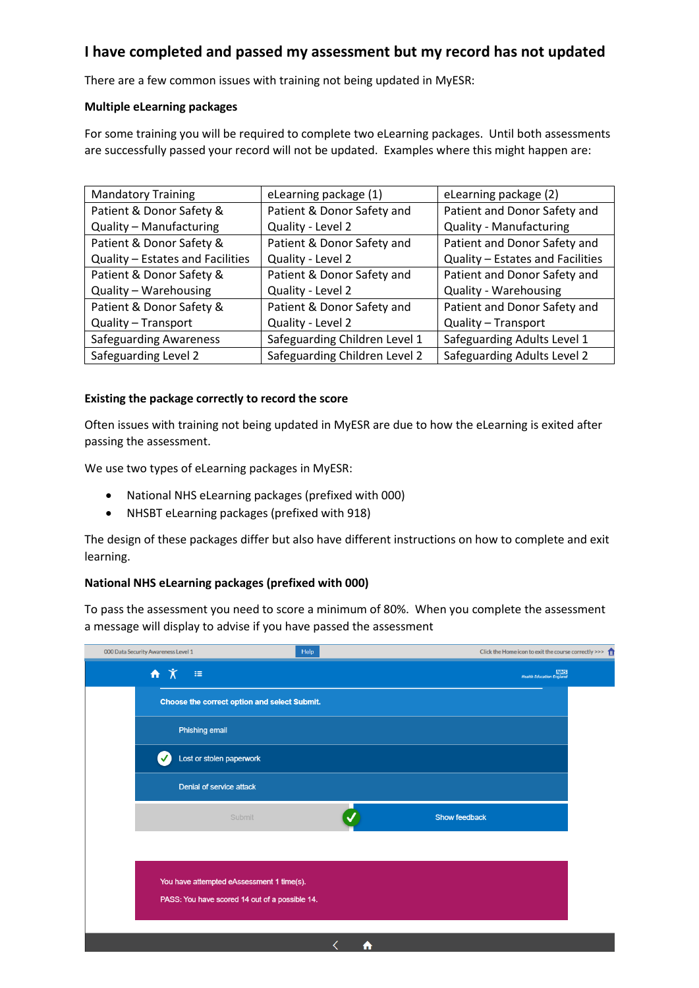## **I have completed and passed my assessment but my record has not updated**

There are a few common issues with training not being updated in MyESR:

### **Multiple eLearning packages**

For some training you will be required to complete two eLearning packages. Until both assessments are successfully passed your record will not be updated. Examples where this might happen are:

| <b>Mandatory Training</b>        | eLearning package (1)         | eLearning package (2)            |
|----------------------------------|-------------------------------|----------------------------------|
| Patient & Donor Safety &         | Patient & Donor Safety and    | Patient and Donor Safety and     |
| Quality - Manufacturing          | Quality - Level 2             | <b>Quality - Manufacturing</b>   |
| Patient & Donor Safety &         | Patient & Donor Safety and    | Patient and Donor Safety and     |
| Quality - Estates and Facilities | Quality - Level 2             | Quality - Estates and Facilities |
| Patient & Donor Safety &         | Patient & Donor Safety and    | Patient and Donor Safety and     |
| Quality - Warehousing            | Quality - Level 2             | <b>Quality - Warehousing</b>     |
| Patient & Donor Safety &         | Patient & Donor Safety and    | Patient and Donor Safety and     |
| Quality - Transport              | Quality - Level 2             | Quality - Transport              |
| <b>Safeguarding Awareness</b>    | Safeguarding Children Level 1 | Safeguarding Adults Level 1      |
| Safeguarding Level 2             | Safeguarding Children Level 2 | Safeguarding Adults Level 2      |

### **Existing the package correctly to record the score**

Often issues with training not being updated in MyESR are due to how the eLearning is exited after passing the assessment.

We use two types of eLearning packages in MyESR:

- National NHS eLearning packages (prefixed with 000)
- NHSBT eLearning packages (prefixed with 918)

The design of these packages differ but also have different instructions on how to complete and exit learning.

### **National NHS eLearning packages (prefixed with 000)**

To pass the assessment you need to score a minimum of 80%. When you complete the assessment a message will display to advise if you have passed the assessment

| 000 Data Security Awareness Level 1                         | Help | Click the Home icon to exit the course correctly >>> $\hat{\mathbf{m}}$ |
|-------------------------------------------------------------|------|-------------------------------------------------------------------------|
| $\overline{\mathbf{m}}$ $\overline{\mathbf{X}}$<br>$\equiv$ |      | $\frac{\sqrt{H\mathbf{B}}}{\text{Health Education England}}$            |
| Choose the correct option and select Submit.                |      |                                                                         |
| Phishing email                                              |      |                                                                         |
| Lost or stolen paperwork<br>✓                               |      |                                                                         |
| Denial of service attack                                    |      |                                                                         |
| Submit                                                      |      | <b>Show feedback</b>                                                    |
|                                                             |      |                                                                         |
| You have attempted eAssessment 1 time(s).                   |      |                                                                         |
| PASS: You have scored 14 out of a possible 14.              |      |                                                                         |
|                                                             | A    |                                                                         |
|                                                             |      |                                                                         |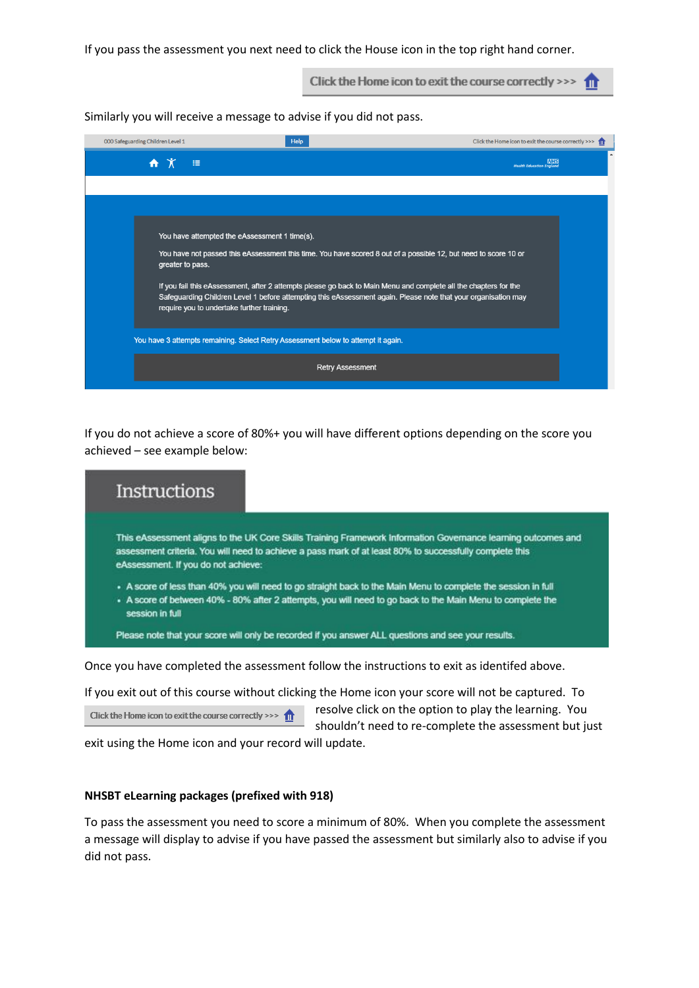If you pass the assessment you next need to click the House icon in the top right hand corner.

Click the Home icon to exit the course correctly >>>  $\bigcap$ 

Similarly you will receive a message to advise if you did not pass.

| 000 Safeguarding Children Level 1 | Help                                                                                                                                                                                                                                                                                                                                                                                                                                                 | Click the Home icon to exit the course correctly >>> $\uparrow$ |
|-----------------------------------|------------------------------------------------------------------------------------------------------------------------------------------------------------------------------------------------------------------------------------------------------------------------------------------------------------------------------------------------------------------------------------------------------------------------------------------------------|-----------------------------------------------------------------|
| 挂<br>ĦΧ                           |                                                                                                                                                                                                                                                                                                                                                                                                                                                      | <b>NHS</b><br><b>Health Education England</b>                   |
|                                   |                                                                                                                                                                                                                                                                                                                                                                                                                                                      |                                                                 |
| greater to pass.                  | You have attempted the eAssessment 1 time(s).<br>You have not passed this eAssessment this time. You have scored 8 out of a possible 12, but need to score 10 or<br>If you fail this eAssessment, after 2 attempts please go back to Main Menu and complete all the chapters for the<br>Safeguarding Children Level 1 before attempting this eAssessment again. Please note that your organisation may<br>require you to undertake further training. |                                                                 |
|                                   | You have 3 attempts remaining. Select Retry Assessment below to attempt it again.                                                                                                                                                                                                                                                                                                                                                                    |                                                                 |
|                                   | <b>Retry Assessment</b>                                                                                                                                                                                                                                                                                                                                                                                                                              |                                                                 |

If you do not achieve a score of 80%+ you will have different options depending on the score you achieved – see example below:

| This eAssessment aligns to the UK Core Skills Training Framework Information Governance learning outcomes and                 |
|-------------------------------------------------------------------------------------------------------------------------------|
| assessment criteria. You will need to achieve a pass mark of at least 80% to successfully complete this                       |
| eAssessment. If you do not achieve:                                                                                           |
| . A score of less than 40% you will need to go straight back to the Main Menu to complete the session in full                 |
| . A score of between 40% - 80% after 2 attempts, you will need to go back to the Main Menu to complete the<br>session in full |
| Please note that your score will only be recorded if you answer ALL questions and see your results.                           |

If you exit out of this course without clicking the Home icon your score will not be captured. To

Click the Home icon to exit the course correctly >>>  $\hat{\mathbf{m}}$ 

resolve click on the option to play the learning. You shouldn't need to re-complete the assessment but just

exit using the Home icon and your record will update.

#### **NHSBT eLearning packages (prefixed with 918)**

To pass the assessment you need to score a minimum of 80%. When you complete the assessment a message will display to advise if you have passed the assessment but similarly also to advise if you did not pass.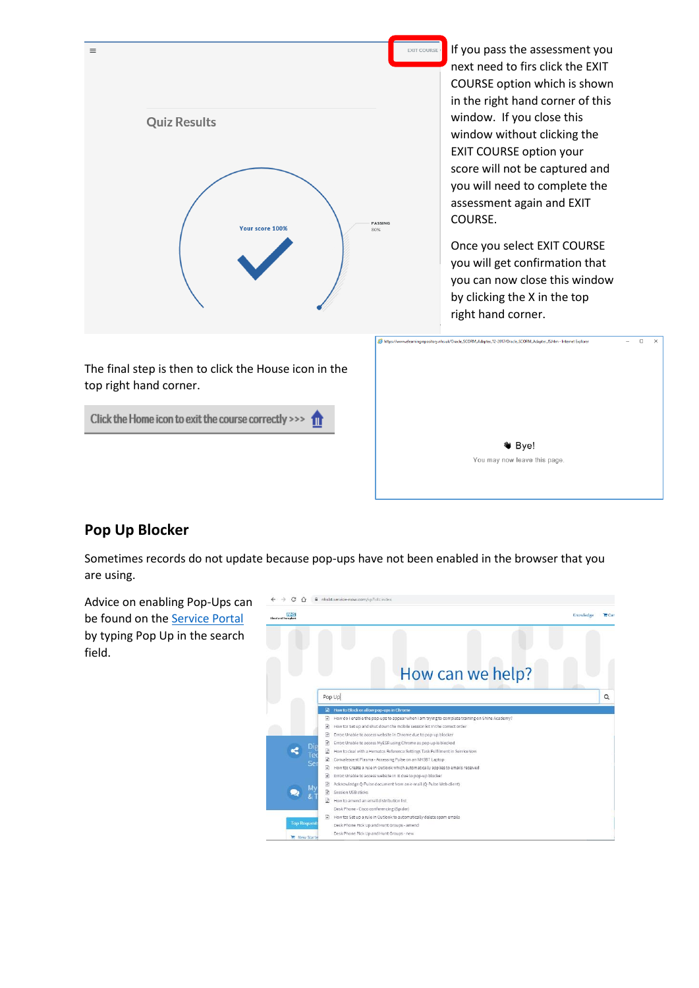

score will not be captured and you will need to complete the assessment again and EXIT COURSE. Once you select EXIT COURSE you will get confirmation that you can now close this window by clicking the X in the top

If you pass the assessment you next need to firs click the EXIT COURSE option which is shown in the right hand corner of this window. If you close this window without clicking the EXIT COURSE option your

top right hand corner.

Click the Home icon to exit the course correctly >>>



right hand corner.

# **Pop Up Blocker**

Sometimes records do not update because pop-ups have not been enabled in the browser that you are using.

Advice on enabling Pop-Ups can be found on the [Service Portal](https://nhsbt.service-now.com/sp?id=index) by typing Pop Up in the search field.

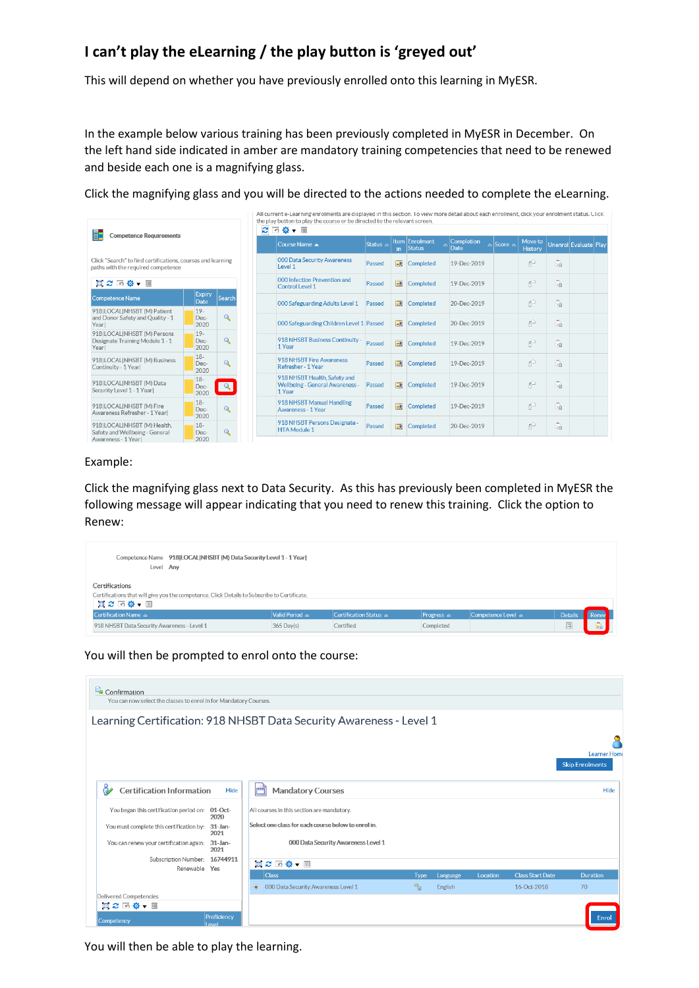# **I can't play the eLearning / the play button is 'greyed out'**

This will depend on whether you have previously enrolled onto this learning in MyESR.

In the example below various training has been previously completed in MyESR in December. On the left hand side indicated in amber are mandatory training competencies that need to be renewed and beside each one is a magnifying glass.

Click the magnifying glass and you will be directed to the actions needed to complete the eLearning.

| E.<br><b>Competence Requirements</b>                                                              |                        | e            | All current e-Learning enrolments are displayed in this section. I o view more detail about each enrolment, click your enrolment status. Click<br>the play button to play the course or be directed to the relevant screen.<br>画 尊 ▼ 皿 |                                                                                  |               |                         |                                 |                    |                     |                    |          |                       |  |
|---------------------------------------------------------------------------------------------------|------------------------|--------------|----------------------------------------------------------------------------------------------------------------------------------------------------------------------------------------------------------------------------------------|----------------------------------------------------------------------------------|---------------|-------------------------|---------------------------------|--------------------|---------------------|--------------------|----------|-----------------------|--|
|                                                                                                   |                        |              |                                                                                                                                                                                                                                        | Course Name A                                                                    | Status $\sim$ | in.                     | <b>Item Enrolment</b><br>Status | Completion<br>Date | $\log$ Score $\log$ | Move to<br>History |          | Unenrol Evaluate Play |  |
| Click "Search" to find certifications, courses and learning<br>paths with the required competence |                        |              |                                                                                                                                                                                                                                        | 000 Data Security Awareness<br>Level 1                                           | Passed        | 國                       | Completed                       | 19-Dec-2019        |                     | p                  | Ġ.       |                       |  |
| ■ 2 回 3 → 画                                                                                       |                        |              |                                                                                                                                                                                                                                        | 000 Infection Prevention and<br><b>Control Level 1</b>                           | Passed        | $\overline{R}$          | Completed                       | 19-Dec-2019        |                     | p                  | G        |                       |  |
| Competence Name                                                                                   | <b>Expiry</b><br>Date  | Search       |                                                                                                                                                                                                                                        | 000 Safeguarding Adults Level 1                                                  | Passed        | 國                       | Completed                       | 20-Dec-2019        |                     | p                  | Ğ.       |                       |  |
| 918 LOCAL NHSBT (M) Patient<br>and Donor Safety and Quality - 1<br>Yearl                          | $19-$<br>Dec-<br>2020  | $\mathbf{Q}$ |                                                                                                                                                                                                                                        | 000 Safeguarding Children Level 1 Passed                                         |               | $\overline{\mathbf{R}}$ | Completed                       | 20-Dec-2019        |                     | ŕ                  | m.<br>УŔ |                       |  |
| 918 LOCAL NHSBT (M) Persons<br>Designate Training Module 1 - 1<br>Yearl                           | $19-$<br>Dec-<br>2020  | $\mathbf Q$  |                                                                                                                                                                                                                                        | 918 NHSBT Business Continuity -<br>1 Year                                        | Passed        | $\overline{R}$          | Completed                       | 19-Dec-2019        |                     | p                  | Ğ.       |                       |  |
| 918 LOCAL NHSBT (M) Business<br>Continuity - 1 Year                                               | $18-$<br>Dec-<br>2020  | $\mathbf Q$  |                                                                                                                                                                                                                                        | 918 NHSBT Fire Awareness<br>Refresher - 1 Year                                   | Passed        | 國                       | Completed                       | 19-Dec-2019        |                     | f                  | Ġ.       |                       |  |
| 918 LOCAL NHSBT (M) Data<br>Security Level 1 - 1 Yearl                                            | $18 -$<br>Dec-<br>2020 | $\alpha$     |                                                                                                                                                                                                                                        | 918 NHSBT Health, Safety and<br><b>Wellbeing - General Awareness -</b><br>1 Year | Passed        | $\overline{R}$          | Completed                       | 19-Dec-2019        |                     | p                  | Ġ.       |                       |  |
| 918ILOCALINHSBT (M) Fire<br>Awareness Refresher - 1 Yearl                                         | $18 -$<br>Dec-<br>2020 | $\mathbf Q$  |                                                                                                                                                                                                                                        | 918 NHSBT Manual Handling<br>Awareness - 1 Year                                  | Passed        | 國                       | Completed                       | 19-Dec-2019        |                     | p                  | Ğ.       |                       |  |
| 918 LOCAL NHSBT (M) Health.<br>Safety and Wellbeing - General<br>Awareness - 1 Yearl              | $18-$<br>Dec-<br>2020  | $\mathbf Q$  |                                                                                                                                                                                                                                        | 918 NHSBT Persons Designate -<br><b>HTA Module 1</b>                             | Passed        | $\overline{R}$          | Completed                       | 20-Dec-2019        |                     | f                  | ż        |                       |  |

#### Example:

Click the magnifying glass next to Data Security. As this has previously been completed in MyESR the following message will appear indicating that you need to renew this training. Click the option to Renew:

| Competence Name 918 LOCAL NHSBT (M) Data Security Level 1 - 1 Year <br>Level Any                                              |                          |                                  |                        |                         |                |       |
|-------------------------------------------------------------------------------------------------------------------------------|--------------------------|----------------------------------|------------------------|-------------------------|----------------|-------|
| Certifications<br>Certifications that will give you the competence. Click Details to Subscribe to Certificate.<br>真 ご 回 尊 ▼ 皿 |                          |                                  |                        |                         |                |       |
| Certification Name △                                                                                                          | $Valid Period \triangle$ | Certification Status $\triangle$ | <b>Progress</b> $\sim$ | Competence Level $\sim$ | <b>Details</b> | Renew |
| 918 NHSBT Data Security Awareness - Level 1                                                                                   | $365$ Day(s)             | Certified                        | Completed              |                         | 画              | Ġ.    |

You will then be prompted to enrol onto the course:

|                                          |                    | Learning Certification: 918 NHSBT Data Security Awareness - Level 1            |                                              |
|------------------------------------------|--------------------|--------------------------------------------------------------------------------|----------------------------------------------|
|                                          |                    |                                                                                |                                              |
|                                          |                    |                                                                                | <b>Learner Hom</b><br><b>Skip Enrolments</b> |
| <b>Certification Information</b>         | Hide               | وتعتبر<br><b>Mandatory Courses</b>                                             | Hide                                         |
| You began this certification period on:  | $01$ -Oct-<br>2020 | All courses in this section are mandatory.                                     |                                              |
| You must complete this certification by: | $31$ -Jan-         | Select one class for each course below to enrol in.                            |                                              |
|                                          | 2021               |                                                                                |                                              |
| You can renew your certification again:  | $31$ -Jan-<br>2021 | 000 Data Security Awareness Level 1                                            |                                              |
| Subscription Number: 16744911            |                    | 同之回尊▼ ■                                                                        |                                              |
| Renewable Yes                            |                    | <b>Class</b><br><b>Class Start Date</b><br><b>Type</b><br>Language<br>Location | <b>Duration</b>                              |

You will then be able to play the learning.